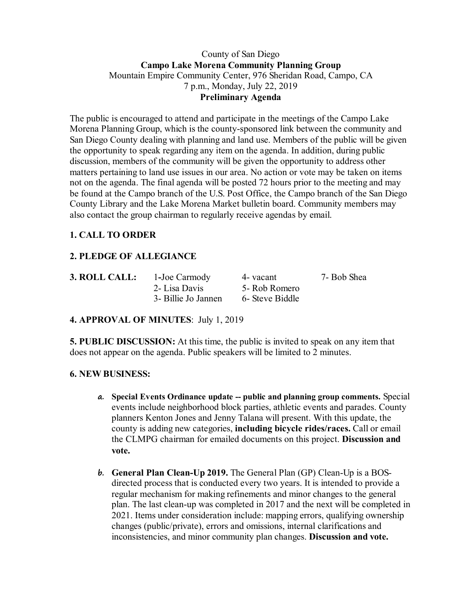#### County of San Diego **Campo Lake Morena Community Planning Group** Mountain Empire Community Center, 976 Sheridan Road, Campo, CA 7 p.m., Monday, July 22, 2019 **Preliminary Agenda**

The public is encouraged to attend and participate in the meetings of the Campo Lake Morena Planning Group, which is the county-sponsored link between the community and San Diego County dealing with planning and land use. Members of the public will be given the opportunity to speak regarding any item on the agenda. In addition, during public discussion, members of the community will be given the opportunity to address other matters pertaining to land use issues in our area. No action or vote may be taken on items not on the agenda. The final agenda will be posted 72 hours prior to the meeting and may be found at the Campo branch of the U.S. Post Office, the Campo branch of the San Diego County Library and the Lake Morena Market bulletin board. Community members may also contact the group chairman to regularly receive agendas by email.

# **1. CALL TO ORDER**

# **2. PLEDGE OF ALLEGIANCE**

| 3. ROLL CALL: | 1-Joe Carmody       | 4- vacant       | 7- Bob Shea |
|---------------|---------------------|-----------------|-------------|
|               | 2- Lisa Davis       | 5- Rob Romero   |             |
|               | 3- Billie Jo Jannen | 6- Steve Biddle |             |

## **4. APPROVAL OF MINUTES**: July 1, 2019

**5. PUBLIC DISCUSSION:** At this time, the public is invited to speak on any item that does not appear on the agenda. Public speakers will be limited to 2 minutes.

## **6. NEW BUSINESS:**

- **a. Special Events Ordinance update -- public and planning group comments.** Special events include neighborhood block parties, athletic events and parades. County planners Kenton Jones and Jenny Talana will present. With this update, the county is adding new categories, **including bicycle rides/races.** Call or email the CLMPG chairman for emailed documents on this project. **Discussion and vote.**
- **b. General Plan Clean-Up 2019.** The General Plan (GP) Clean-Up is a BOSdirected process that is conducted every two years. It is intended to provide a regular mechanism for making refinements and minor changes to the general plan. The last clean-up was completed in 2017 and the next will be completed in 2021. Items under consideration include: mapping errors, qualifying ownership changes (public/private), errors and omissions, internal clarifications and inconsistencies, and minor community plan changes. **Discussion and vote.**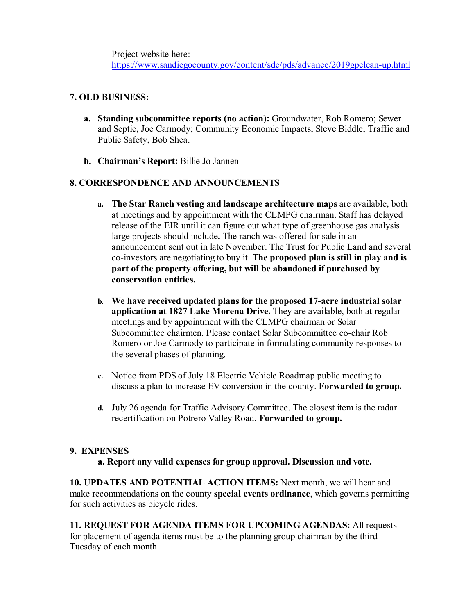Project website here: https://www.sandiegocounty.gov/content/sdc/pds/advance/2019gpclean-up.html

### **7. OLD BUSINESS:**

- **a. Standing subcommittee reports (no action):** Groundwater, Rob Romero; Sewer and Septic, Joe Carmody; Community Economic Impacts, Steve Biddle; Traffic and Public Safety, Bob Shea.
- **b. Chairman's Report:** Billie Jo Jannen

#### **8. CORRESPONDENCE AND ANNOUNCEMENTS**

- **a. The Star Ranch vesting and landscape architecture maps** are available, both at meetings and by appointment with the CLMPG chairman. Staff has delayed release of the EIR until it can figure out what type of greenhouse gas analysis large projects should include**.** The ranch was offered for sale in an announcement sent out in late November. The Trust for Public Land and several co-investors are negotiating to buy it. **The proposed plan is still in play and is part of the property offering, but will be abandoned if purchased by conservation entities.**
- **b. We have received updated plans for the proposed 17-acre industrial solar application at 1827 Lake Morena Drive.** They are available, both at regular meetings and by appointment with the CLMPG chairman or Solar Subcommittee chairmen. Please contact Solar Subcommittee co-chair Rob Romero or Joe Carmody to participate in formulating community responses to the several phases of planning.
- **c.** Notice from PDS of July 18 Electric Vehicle Roadmap public meeting to discuss a plan to increase EV conversion in the county. **Forwarded to group.**
- **d.** July 26 agenda for Traffic Advisory Committee. The closest item is the radar recertification on Potrero Valley Road. **Forwarded to group.**

#### **9. EXPENSES**

**a. Report any valid expenses for group approval. Discussion and vote.**

**10. UPDATES AND POTENTIAL ACTION ITEMS:** Next month, we will hear and make recommendations on the county **special events ordinance**, which governs permitting for such activities as bicycle rides.

**11. REQUEST FOR AGENDA ITEMS FOR UPCOMING AGENDAS:** All requests for placement of agenda items must be to the planning group chairman by the third Tuesday of each month.